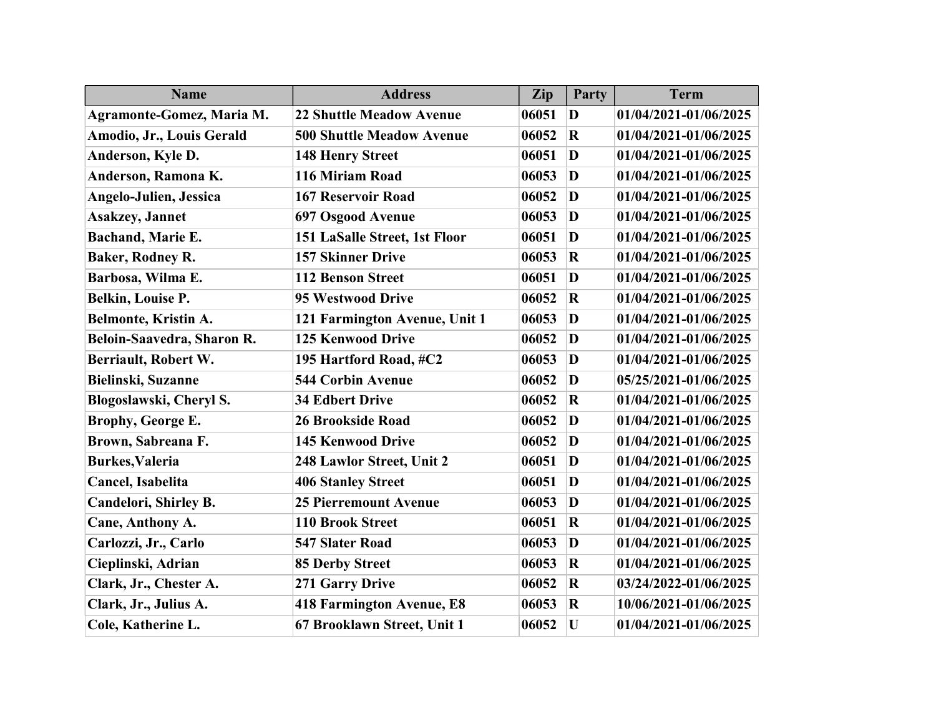| <b>Name</b>                      | <b>Address</b>                       | Zip   | Party       | <b>Term</b>           |
|----------------------------------|--------------------------------------|-------|-------------|-----------------------|
| <b>Agramonte-Gomez, Maria M.</b> | <b>22 Shuttle Meadow Avenue</b>      | 06051 | D           | 01/04/2021-01/06/2025 |
| Amodio, Jr., Louis Gerald        | <b>500 Shuttle Meadow Avenue</b>     | 06052 | $\mathbf R$ | 01/04/2021-01/06/2025 |
| Anderson, Kyle D.                | <b>148 Henry Street</b>              | 06051 | D           | 01/04/2021-01/06/2025 |
| Anderson, Ramona K.              | 116 Miriam Road                      | 06053 | D           | 01/04/2021-01/06/2025 |
| <b>Angelo-Julien, Jessica</b>    | <b>167 Reservoir Road</b>            | 06052 | D           | 01/04/2021-01/06/2025 |
| <b>Asakzey</b> , Jannet          | 697 Osgood Avenue                    | 06053 | D           | 01/04/2021-01/06/2025 |
| Bachand, Marie E.                | <b>151 LaSalle Street, 1st Floor</b> | 06051 | D           | 01/04/2021-01/06/2025 |
| <b>Baker, Rodney R.</b>          | <b>157 Skinner Drive</b>             | 06053 | $\mathbf R$ | 01/04/2021-01/06/2025 |
| Barbosa, Wilma E.                | <b>112 Benson Street</b>             | 06051 | D           | 01/04/2021-01/06/2025 |
| Belkin, Louise P.                | 95 Westwood Drive                    | 06052 | $\mathbf R$ | 01/04/2021-01/06/2025 |
| Belmonte, Kristin A.             | 121 Farmington Avenue, Unit 1        | 06053 | D           | 01/04/2021-01/06/2025 |
| Beloin-Saavedra, Sharon R.       | <b>125 Kenwood Drive</b>             | 06052 | D           | 01/04/2021-01/06/2025 |
| Berriault, Robert W.             | 195 Hartford Road, #C2               | 06053 | D           | 01/04/2021-01/06/2025 |
| Bielinski, Suzanne               | <b>544 Corbin Avenue</b>             | 06052 | D           | 05/25/2021-01/06/2025 |
| Blogoslawski, Cheryl S.          | <b>34 Edbert Drive</b>               | 06052 | $\mathbf R$ | 01/04/2021-01/06/2025 |
| Brophy, George E.                | <b>26 Brookside Road</b>             | 06052 | D           | 01/04/2021-01/06/2025 |
| Brown, Sabreana F.               | <b>145 Kenwood Drive</b>             | 06052 | D           | 01/04/2021-01/06/2025 |
| <b>Burkes, Valeria</b>           | 248 Lawlor Street, Unit 2            | 06051 | D           | 01/04/2021-01/06/2025 |
| Cancel, Isabelita                | <b>406 Stanley Street</b>            | 06051 | D           | 01/04/2021-01/06/2025 |
| Candelori, Shirley B.            | <b>25 Pierremount Avenue</b>         | 06053 | D           | 01/04/2021-01/06/2025 |
| Cane, Anthony A.                 | <b>110 Brook Street</b>              | 06051 | $\mathbf R$ | 01/04/2021-01/06/2025 |
| Carlozzi, Jr., Carlo             | <b>547 Slater Road</b>               | 06053 | D           | 01/04/2021-01/06/2025 |
| Cieplinski, Adrian               | <b>85 Derby Street</b>               | 06053 | $\mathbf R$ | 01/04/2021-01/06/2025 |
| Clark, Jr., Chester A.           | 271 Garry Drive                      | 06052 | $\mathbf R$ | 03/24/2022-01/06/2025 |
| Clark, Jr., Julius A.            | <b>418 Farmington Avenue, E8</b>     | 06053 | $\mathbf R$ | 10/06/2021-01/06/2025 |
| Cole, Katherine L.               | 67 Brooklawn Street, Unit 1          | 06052 | U           | 01/04/2021-01/06/2025 |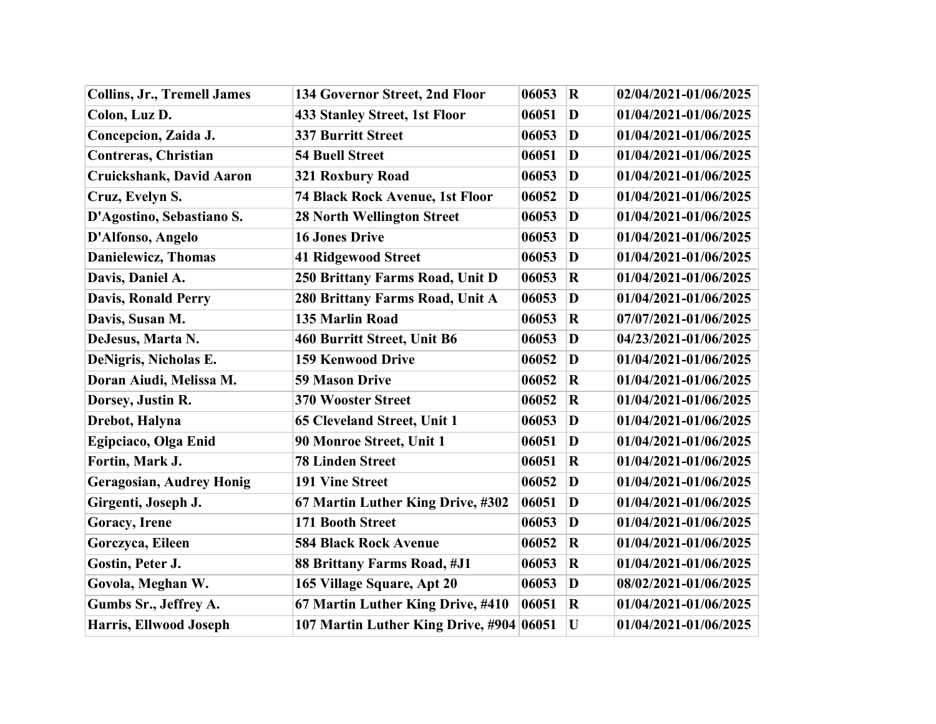| <b>Collins, Jr., Tremell James</b> | 134 Governor Street, 2nd Floor           | 06053 | $\vert \mathbf{R} \vert$ | 02/04/2021-01/06/2025 |
|------------------------------------|------------------------------------------|-------|--------------------------|-----------------------|
| Colon, Luz D.                      | <b>433 Stanley Street, 1st Floor</b>     | 06051 | $\bf D$                  | 01/04/2021-01/06/2025 |
| Concepcion, Zaida J.               | <b>337 Burritt Street</b>                | 06053 | $\bf D$                  | 01/04/2021-01/06/2025 |
| <b>Contreras, Christian</b>        | <b>54 Buell Street</b>                   | 06051 | $\bf D$                  | 01/04/2021-01/06/2025 |
| <b>Cruickshank, David Aaron</b>    | 321 Roxbury Road                         | 06053 | $\bf D$                  | 01/04/2021-01/06/2025 |
| Cruz, Evelyn S.                    | <b>74 Black Rock Avenue, 1st Floor</b>   | 06052 | $\bf D$                  | 01/04/2021-01/06/2025 |
| D'Agostino, Sebastiano S.          | <b>28 North Wellington Street</b>        | 06053 | $\bf D$                  | 01/04/2021-01/06/2025 |
| D'Alfonso, Angelo                  | <b>16 Jones Drive</b>                    | 06053 | $\bf D$                  | 01/04/2021-01/06/2025 |
| <b>Danielewicz</b> , Thomas        | <b>41 Ridgewood Street</b>               | 06053 | $\bf D$                  | 01/04/2021-01/06/2025 |
| Davis, Daniel A.                   | 250 Brittany Farms Road, Unit D          | 06053 | $\bf R$                  | 01/04/2021-01/06/2025 |
| <b>Davis, Ronald Perry</b>         | 280 Brittany Farms Road, Unit A          | 06053 | D                        | 01/04/2021-01/06/2025 |
| Davis, Susan M.                    | <b>135 Marlin Road</b>                   | 06053 | $\overline{\mathbf{R}}$  | 07/07/2021-01/06/2025 |
| DeJesus, Marta N.                  | 460 Burritt Street, Unit B6              | 06053 | $\bf D$                  | 04/23/2021-01/06/2025 |
| DeNigris, Nicholas E.              | <b>159 Kenwood Drive</b>                 | 06052 | $\bf D$                  | 01/04/2021-01/06/2025 |
| Doran Aiudi, Melissa M.            | <b>59 Mason Drive</b>                    | 06052 | $\bf R$                  | 01/04/2021-01/06/2025 |
| Dorsey, Justin R.                  | <b>370 Wooster Street</b>                | 06052 | $\overline{\mathbf{R}}$  | 01/04/2021-01/06/2025 |
| Drebot, Halyna                     | 65 Cleveland Street, Unit 1              | 06053 | $\bf D$                  | 01/04/2021-01/06/2025 |
| Egipciaco, Olga Enid               | 90 Monroe Street, Unit 1                 | 06051 | $\bf D$                  | 01/04/2021-01/06/2025 |
| Fortin, Mark J.                    | <b>78 Linden Street</b>                  | 06051 | $\overline{\mathbf{R}}$  | 01/04/2021-01/06/2025 |
| <b>Geragosian, Audrey Honig</b>    | <b>191 Vine Street</b>                   | 06052 | $\bf D$                  | 01/04/2021-01/06/2025 |
| Girgenti, Joseph J.                | 67 Martin Luther King Drive, #302        | 06051 | $\bf D$                  | 01/04/2021-01/06/2025 |
| <b>Goracy</b> , Irene              | 171 Booth Street                         | 06053 | $\bf D$                  | 01/04/2021-01/06/2025 |
| Gorczyca, Eileen                   | <b>584 Black Rock Avenue</b>             | 06052 | $\bf R$                  | 01/04/2021-01/06/2025 |
| Gostin, Peter J.                   | 88 Brittany Farms Road, #J1              | 06053 | $\bf R$                  | 01/04/2021-01/06/2025 |
| Govola, Meghan W.                  | 165 Village Square, Apt 20               | 06053 | D                        | 08/02/2021-01/06/2025 |
| Gumbs Sr., Jeffrey A.              | 67 Martin Luther King Drive, #410        | 06051 | $\bf R$                  | 01/04/2021-01/06/2025 |
| <b>Harris, Ellwood Joseph</b>      | 107 Martin Luther King Drive, #904 06051 |       | $\mathbf U$              | 01/04/2021-01/06/2025 |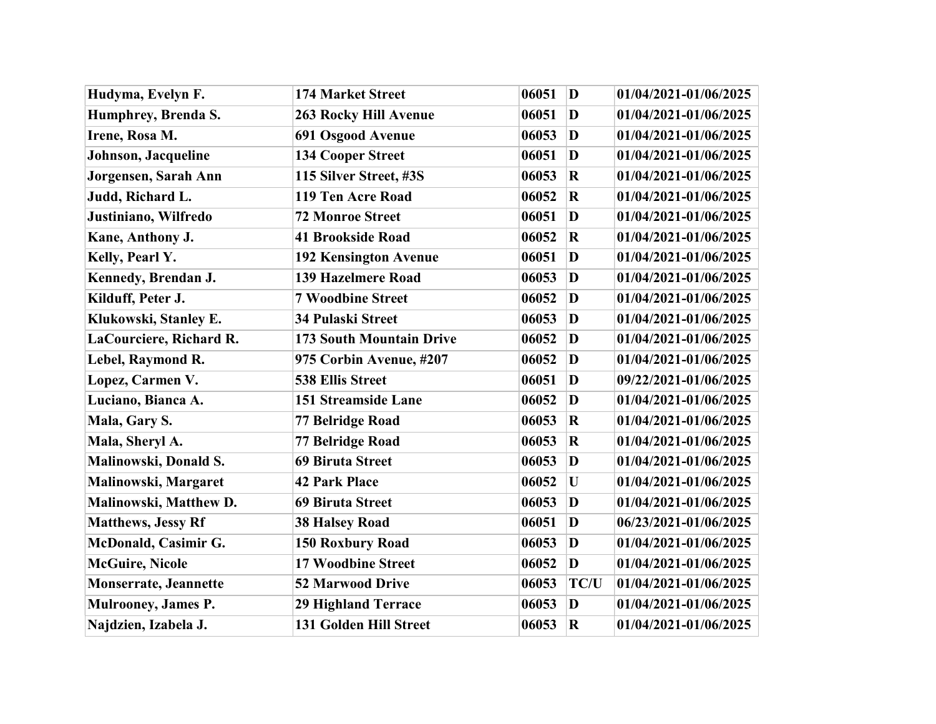| Hudyma, Evelyn F.            | <b>174 Market Street</b>     | $\mathbf{D}$<br>06051 |             | 01/04/2021-01/06/2025 |
|------------------------------|------------------------------|-----------------------|-------------|-----------------------|
| Humphrey, Brenda S.          | <b>263 Rocky Hill Avenue</b> | 06051<br>$\bf{D}$     |             | 01/04/2021-01/06/2025 |
| Irene, Rosa M.               | 691 Osgood Avenue            | $\bf{D}$<br>06053     |             | 01/04/2021-01/06/2025 |
| Johnson, Jacqueline          | <b>134 Cooper Street</b>     | 06051                 | D           | 01/04/2021-01/06/2025 |
| Jorgensen, Sarah Ann         | 115 Silver Street, #3S       | 06053                 | $\bf R$     | 01/04/2021-01/06/2025 |
| Judd, Richard L.             | 119 Ten Acre Road            | 06052                 | $\mathbf R$ | 01/04/2021-01/06/2025 |
| Justiniano, Wilfredo         | <b>72 Monroe Street</b>      | 06051                 | D           | 01/04/2021-01/06/2025 |
| Kane, Anthony J.             | <b>41 Brookside Road</b>     | 06052                 | $\mathbf R$ | 01/04/2021-01/06/2025 |
| Kelly, Pearl Y.              | <b>192 Kensington Avenue</b> | $\bf{D}$<br>06051     |             | 01/04/2021-01/06/2025 |
| Kennedy, Brendan J.          | 139 Hazelmere Road           | 06053                 | D           | 01/04/2021-01/06/2025 |
| Kilduff, Peter J.            | <b>7 Woodbine Street</b>     | 06052                 | $\bf{D}$    | 01/04/2021-01/06/2025 |
| Klukowski, Stanley E.        | 34 Pulaski Street            | 06053                 | D           | 01/04/2021-01/06/2025 |
| LaCourciere, Richard R.      | 173 South Mountain Drive     | 06052                 | D           | 01/04/2021-01/06/2025 |
| Lebel, Raymond R.            | 975 Corbin Avenue, #207      | 06052                 | $\bf{D}$    | 01/04/2021-01/06/2025 |
| Lopez, Carmen V.             | <b>538 Ellis Street</b>      | 06051                 | D           | 09/22/2021-01/06/2025 |
| Luciano, Bianca A.           | <b>151 Streamside Lane</b>   | 06052                 | D           | 01/04/2021-01/06/2025 |
| Mala, Gary S.                | 77 Belridge Road             | 06053                 | $\mathbf R$ | 01/04/2021-01/06/2025 |
| Mala, Sheryl A.              | 77 Belridge Road             | 06053                 | $\bf R$     | 01/04/2021-01/06/2025 |
| Malinowski, Donald S.        | <b>69 Biruta Street</b>      | 06053                 | D           | 01/04/2021-01/06/2025 |
| Malinowski, Margaret         | <b>42 Park Place</b>         | 06052                 | U           | 01/04/2021-01/06/2025 |
| Malinowski, Matthew D.       | 69 Biruta Street             | 06053                 | D           | 01/04/2021-01/06/2025 |
| <b>Matthews, Jessy Rf</b>    | <b>38 Halsey Road</b>        | 06051                 | $\bf D$     | 06/23/2021-01/06/2025 |
| <b>McDonald, Casimir G.</b>  | <b>150 Roxbury Road</b>      | 06053                 | D           | 01/04/2021-01/06/2025 |
| <b>McGuire, Nicole</b>       | <b>17 Woodbine Street</b>    | 06052                 | D           | 01/04/2021-01/06/2025 |
| <b>Monserrate, Jeannette</b> | <b>52 Marwood Drive</b>      | 06053                 | <b>TC/U</b> | 01/04/2021-01/06/2025 |
| Mulrooney, James P.          | <b>29 Highland Terrace</b>   | 06053                 | $\bf{D}$    | 01/04/2021-01/06/2025 |
| Najdzien, Izabela J.         | 131 Golden Hill Street       | 06053                 | $\mathbf R$ | 01/04/2021-01/06/2025 |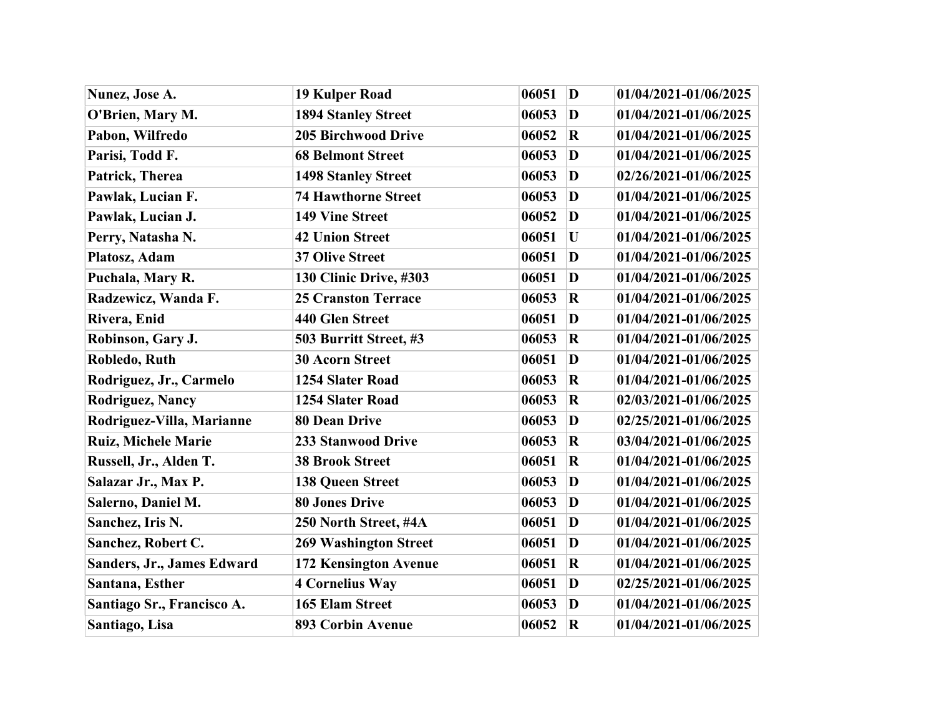| Nunez, Jose A.             | <b>19 Kulper Road</b>        | $\mathbf{D}$<br>06051            | 01/04/2021-01/06/2025 |
|----------------------------|------------------------------|----------------------------------|-----------------------|
| O'Brien, Mary M.           | <b>1894 Stanley Street</b>   | 06053<br>$\mathbf{D}$            | 01/04/2021-01/06/2025 |
| Pabon, Wilfredo            | <b>205 Birchwood Drive</b>   | $\overline{\mathbf{R}}$<br>06052 | 01/04/2021-01/06/2025 |
| Parisi, Todd F.            | <b>68 Belmont Street</b>     | 06053<br>D                       | 01/04/2021-01/06/2025 |
| Patrick, Therea            | <b>1498 Stanley Street</b>   | 06053<br>D                       | 02/26/2021-01/06/2025 |
| Pawlak, Lucian F.          | <b>74 Hawthorne Street</b>   | $\bf{D}$<br>06053                | 01/04/2021-01/06/2025 |
| Pawlak, Lucian J.          | <b>149 Vine Street</b>       | 06052<br>D                       | 01/04/2021-01/06/2025 |
| Perry, Natasha N.          | <b>42 Union Street</b>       | 06051<br>U                       | 01/04/2021-01/06/2025 |
| Platosz, Adam              | <b>37 Olive Street</b>       | $\bf{D}$<br>06051                | 01/04/2021-01/06/2025 |
| Puchala, Mary R.           | 130 Clinic Drive, #303       | 06051<br>D                       | 01/04/2021-01/06/2025 |
| Radzewicz, Wanda F.        | <b>25 Cranston Terrace</b>   | 06053<br>$\bf R$                 | 01/04/2021-01/06/2025 |
| Rivera, Enid               | 440 Glen Street              | 06051<br>D                       | 01/04/2021-01/06/2025 |
| Robinson, Gary J.          | 503 Burritt Street, #3       | 06053<br>$\bf R$                 | 01/04/2021-01/06/2025 |
| Robledo, Ruth              | <b>30 Acorn Street</b>       | 06051<br>$\bf{D}$                | 01/04/2021-01/06/2025 |
| Rodriguez, Jr., Carmelo    | 1254 Slater Road             | 06053<br>$\bf R$                 | 01/04/2021-01/06/2025 |
| <b>Rodriguez, Nancy</b>    | 1254 Slater Road             | 06053<br>$\mathbf R$             | 02/03/2021-01/06/2025 |
| Rodriguez-Villa, Marianne  | <b>80 Dean Drive</b>         | 06053<br>D                       | 02/25/2021-01/06/2025 |
| <b>Ruiz, Michele Marie</b> | 233 Stanwood Drive           | 06053<br>$\bf R$                 | 03/04/2021-01/06/2025 |
| Russell, Jr., Alden T.     | <b>38 Brook Street</b>       | 06051<br>$\mathbf R$             | 01/04/2021-01/06/2025 |
| Salazar Jr., Max P.        | <b>138 Queen Street</b>      | 06053<br>$\bf{D}$                | 01/04/2021-01/06/2025 |
| Salerno, Daniel M.         | <b>80 Jones Drive</b>        | 06053<br>$\bf{D}$                | 01/04/2021-01/06/2025 |
| Sanchez, Iris N.           | 250 North Street, #4A        | 06051<br>$\bf{D}$                | 01/04/2021-01/06/2025 |
| Sanchez, Robert C.         | <b>269 Washington Street</b> | D<br>06051                       | 01/04/2021-01/06/2025 |
| Sanders, Jr., James Edward | 172 Kensington Avenue        | 06051<br>$\mathbf R$             | 01/04/2021-01/06/2025 |
| Santana, Esther            | <b>4 Cornelius Way</b>       | 06051<br>D                       | 02/25/2021-01/06/2025 |
| Santiago Sr., Francisco A. | <b>165 Elam Street</b>       | 06053<br>$\bf{D}$                | 01/04/2021-01/06/2025 |
| Santiago, Lisa             | <b>893 Corbin Avenue</b>     | 06052<br>$\bf R$                 | 01/04/2021-01/06/2025 |